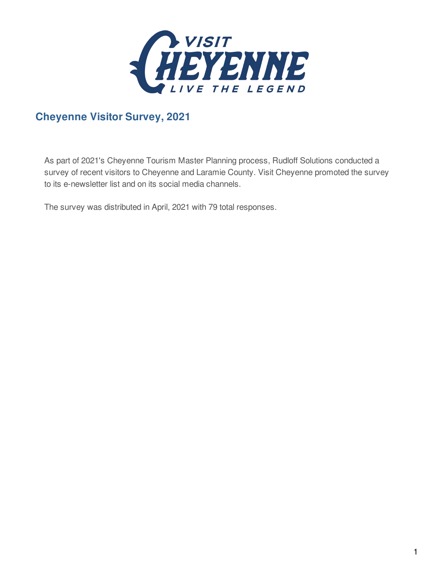

### **Cheyenne Visitor Survey, 2021**

As part of 2021's Cheyenne Tourism Master Planning process, Rudloff Solutions conducted a survey of recent visitors to Cheyenne and Laramie County. Visit Cheyenne promoted the survey to its e-newsletter list and on its social media channels.

The survey was distributed in April, 2021 with 79 total responses.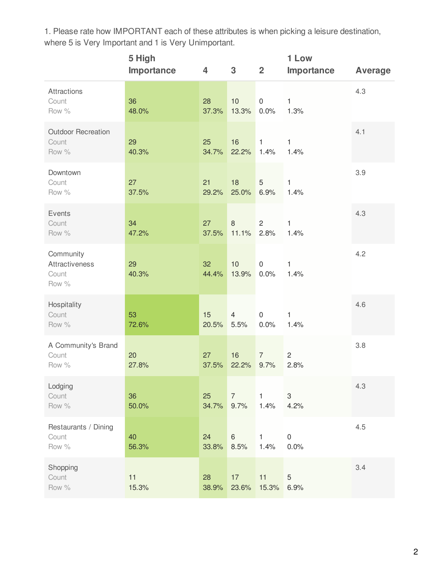1. Please rate how IMPORTANT each of these attributes is when picking a leisure destination, where 5 is Very Important and 1 is Very Unimportant.

|                                               | 5 High<br>Importance | 4           | 3                      | $\overline{2}$              | 1 Low<br>Importance      | <b>Average</b> |
|-----------------------------------------------|----------------------|-------------|------------------------|-----------------------------|--------------------------|----------------|
| Attractions<br>Count<br>Row %                 | 36<br>48.0%          | 28<br>37.3% | 10<br>13.3%            | $\mathsf{O}\xspace$<br>0.0% | $\mathbf{1}$<br>1.3%     | 4.3            |
| <b>Outdoor Recreation</b><br>Count<br>Row %   | 29<br>40.3%          | 25<br>34.7% | 16<br>22.2%            | $\mathbf{1}$<br>1.4%        | $\mathbf{1}$<br>1.4%     | 4.1            |
| Downtown<br>Count<br>Row %                    | 27<br>37.5%          | 21<br>29.2% | 18<br>25.0%            | 5<br>6.9%                   | 1<br>1.4%                | 3.9            |
| Events<br>Count<br>Row %                      | 34<br>47.2%          | 27<br>37.5% | 8<br>11.1%             | $\overline{2}$<br>2.8%      | 1<br>1.4%                | 4.3            |
| Community<br>Attractiveness<br>Count<br>Row % | 29<br>40.3%          | 32<br>44.4% | 10<br>13.9%            | $\mathbf 0$<br>0.0%         | $\mathbf{1}$<br>1.4%     | 4.2            |
| Hospitality<br>Count<br>Row %                 | 53<br>72.6%          | 15<br>20.5% | $\overline{4}$<br>5.5% | $\mathsf{O}\xspace$<br>0.0% | $\mathbf{1}$<br>1.4%     | 4.6            |
| A Community's Brand<br>Count<br>Row %         | 20<br>27.8%          | 27<br>37.5% | 16<br>22.2%            | $\overline{7}$<br>9.7%      | $\overline{c}$<br>2.8%   | 3.8            |
| Lodging<br>Count<br>Row %                     | 36<br>50.0%          | 25<br>34.7% | 7<br>9.7%              | $\mathbf{1}$<br>1.4%        | 3<br>4.2%                | 4.3            |
| Restaurants / Dining<br>Count<br>Row %        | 40<br>56.3%          | 24<br>33.8% | $6\phantom{1}$<br>8.5% | $\mathbf{1}$<br>1.4%        | $\boldsymbol{0}$<br>0.0% | 4.5            |
| Shopping<br>Count<br>Row %                    | 11<br>15.3%          | 28<br>38.9% | 17<br>23.6%            | 11<br>15.3%                 | $\sqrt{5}$<br>6.9%       | 3.4            |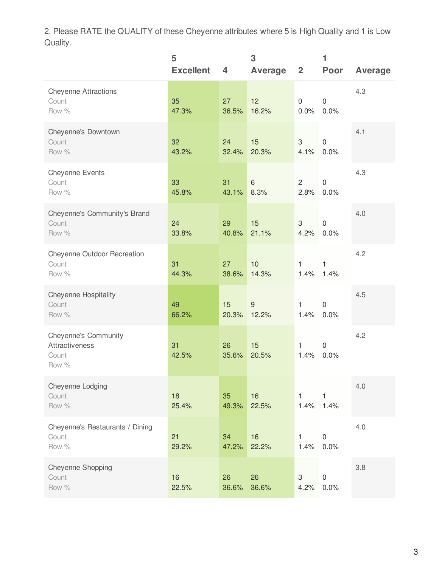2. Please RATE the QUALITY of these Cheyenne attributes where 5 is High Quality and 1 is Low Quality.

|                                                                 | 5<br><b>Excellent</b> | 4           | 3<br>Average              | $\overline{2}$       | 1<br>Poor                | <b>Average</b> |
|-----------------------------------------------------------------|-----------------------|-------------|---------------------------|----------------------|--------------------------|----------------|
| <b>Cheyenne Attractions</b><br>Count<br>Row %                   | 35<br>47.3%           | 27<br>36.5% | 12<br>16.2%               | 0<br>0.0%            | $\mathbf 0$<br>0.0%      | 4.3            |
| Cheyenne's Downtown<br>Count<br>Row %                           | 32<br>43.2%           | 24<br>32.4% | 15<br>20.3%               | 3<br>4.1%            | $\mathbf 0$<br>0.0%      | 4.1            |
| <b>Cheyenne Events</b><br>Count<br>Row %                        | 33<br>45.8%           | 31<br>43.1% | 6<br>8.3%                 | $\mathbf{2}$<br>2.8% | $\boldsymbol{0}$<br>0.0% | 4.3            |
| Cheyenne's Community's Brand<br>Count<br>Row %                  | 24<br>33.8%           | 29<br>40.8% | 15<br>21.1%               | 3<br>4.2%            | $\mathbf 0$<br>0.0%      | 4.0            |
| Cheyenne Outdoor Recreation<br>Count<br>Row %                   | 31<br>44.3%           | 27<br>38.6% | 10<br>14.3%               | 1<br>1.4%            | 1<br>1.4%                | 4.2            |
| <b>Cheyenne Hospitality</b><br>Count<br>Row %                   | 49<br>66.2%           | 15<br>20.3% | $\boldsymbol{9}$<br>12.2% | $\mathbf{1}$<br>1.4% | $\mathbf 0$<br>0.0%      | 4.5            |
| <b>Cheyenne's Community</b><br>Attractiveness<br>Count<br>Row % | 31<br>42.5%           | 26<br>35.6% | 15<br>20.5%               | 1<br>1.4%            | $\mathbf 0$<br>0.0%      | 4.2            |
| Cheyenne Lodging<br>Count<br>Row %                              | 18<br>25.4%           | 35<br>49.3% | 16<br>22.5%               | $\mathbf{1}$<br>1.4% | $\mathbf{1}$<br>1.4%     | 4.0            |
| Cheyenne's Restaurants / Dining<br>Count<br>Row %               | 21<br>29.2%           | 34<br>47.2% | 16<br>22.2%               | 1<br>1.4%            | $\boldsymbol{0}$<br>0.0% | 4.0            |
| Cheyenne Shopping<br>Count<br>Row %                             | 16<br>22.5%           | 26<br>36.6% | 26<br>36.6%               | 3<br>4.2%            | $\mathsf 0$<br>0.0%      | 3.8            |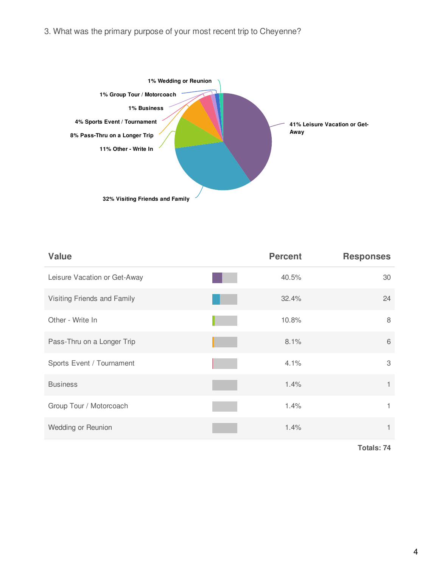

| <b>Value</b>                 | <b>Percent</b> | <b>Responses</b> |
|------------------------------|----------------|------------------|
| Leisure Vacation or Get-Away | 40.5%          | 30               |
| Visiting Friends and Family  | 32.4%          | 24               |
| Other - Write In             | 10.8%          | 8                |
| Pass-Thru on a Longer Trip   | 8.1%           | 6                |
| Sports Event / Tournament    | 4.1%           | 3                |
| <b>Business</b>              | 1.4%           | 1                |
| Group Tour / Motorcoach      | 1.4%           | 1                |
| Wedding or Reunion           | 1.4%           |                  |

4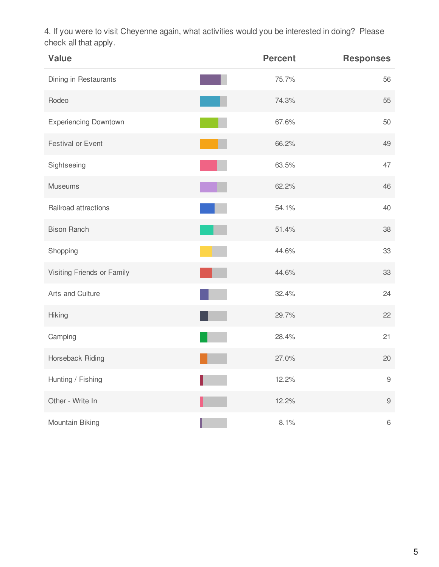4. If you were to visit Cheyenne again, what activities would you be interested in doing? Please check all that apply.

| <b>Value</b>                 | <b>Percent</b> | <b>Responses</b> |
|------------------------------|----------------|------------------|
| Dining in Restaurants        | 75.7%          | 56               |
| Rodeo                        | 74.3%          | 55               |
| <b>Experiencing Downtown</b> | 67.6%          | 50               |
| Festival or Event            | 66.2%          | 49               |
| Sightseeing                  | 63.5%          | 47               |
| <b>Museums</b>               | 62.2%          | 46               |
| Railroad attractions         | 54.1%          | 40               |
| <b>Bison Ranch</b>           | 51.4%          | 38               |
| Shopping                     | 44.6%          | 33               |
| Visiting Friends or Family   | 44.6%          | 33               |
| Arts and Culture             | 32.4%          | 24               |
| Hiking                       | 29.7%          | 22               |
| Camping                      | 28.4%          | 21               |
| Horseback Riding             | 27.0%          | 20               |
| Hunting / Fishing            | 12.2%          | 9                |
| Other - Write In             | 12.2%          | $\hbox{9}$       |
| Mountain Biking              | 8.1%           | 6                |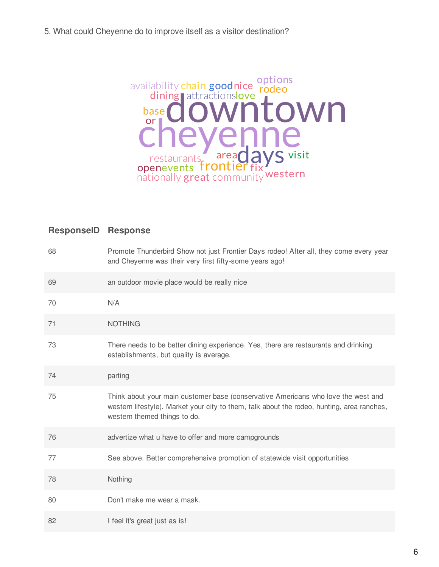

| 68 | Promote Thunderbird Show not just Frontier Days rodeo! After all, they come every year<br>and Cheyenne was their very first fifty-some years ago!                                                               |
|----|-----------------------------------------------------------------------------------------------------------------------------------------------------------------------------------------------------------------|
| 69 | an outdoor movie place would be really nice                                                                                                                                                                     |
| 70 | N/A                                                                                                                                                                                                             |
| 71 | <b>NOTHING</b>                                                                                                                                                                                                  |
| 73 | There needs to be better dining experience. Yes, there are restaurants and drinking<br>establishments, but quality is average.                                                                                  |
| 74 | parting                                                                                                                                                                                                         |
| 75 | Think about your main customer base (conservative Americans who love the west and<br>western lifestyle). Market your city to them, talk about the rodeo, hunting, area ranches,<br>western themed things to do. |
| 76 | advertize what u have to offer and more campgrounds                                                                                                                                                             |
| 77 | See above. Better comprehensive promotion of statewide visit opportunities                                                                                                                                      |
| 78 | Nothing                                                                                                                                                                                                         |
| 80 | Don't make me wear a mask.                                                                                                                                                                                      |
| 82 | I feel it's great just as is!                                                                                                                                                                                   |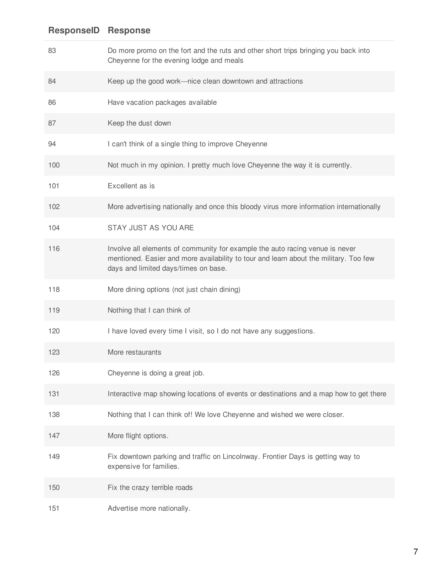| 83  | Do more promo on the fort and the ruts and other short trips bringing you back into<br>Cheyenne for the evening lodge and meals                                                                               |
|-----|---------------------------------------------------------------------------------------------------------------------------------------------------------------------------------------------------------------|
| 84  | Keep up the good work---nice clean downtown and attractions                                                                                                                                                   |
| 86  | Have vacation packages available                                                                                                                                                                              |
| 87  | Keep the dust down                                                                                                                                                                                            |
| 94  | I can't think of a single thing to improve Cheyenne                                                                                                                                                           |
| 100 | Not much in my opinion. I pretty much love Cheyenne the way it is currently.                                                                                                                                  |
| 101 | Excellent as is                                                                                                                                                                                               |
| 102 | More advertising nationally and once this bloody virus more information internationally                                                                                                                       |
| 104 | STAY JUST AS YOU ARE                                                                                                                                                                                          |
| 116 | Involve all elements of community for example the auto racing venue is never<br>mentioned. Easier and more availability to tour and learn about the military. Too few<br>days and limited days/times on base. |
| 118 | More dining options (not just chain dining)                                                                                                                                                                   |
| 119 | Nothing that I can think of                                                                                                                                                                                   |
| 120 | I have loved every time I visit, so I do not have any suggestions.                                                                                                                                            |
| 123 | More restaurants                                                                                                                                                                                              |
| 126 | Cheyenne is doing a great job.                                                                                                                                                                                |
| 131 | Interactive map showing locations of events or destinations and a map how to get there                                                                                                                        |
| 138 | Nothing that I can think of! We love Cheyenne and wished we were closer.                                                                                                                                      |
| 147 | More flight options.                                                                                                                                                                                          |
| 149 | Fix downtown parking and traffic on Lincolnway. Frontier Days is getting way to<br>expensive for families.                                                                                                    |
| 150 | Fix the crazy terrible roads                                                                                                                                                                                  |
| 151 | Advertise more nationally.                                                                                                                                                                                    |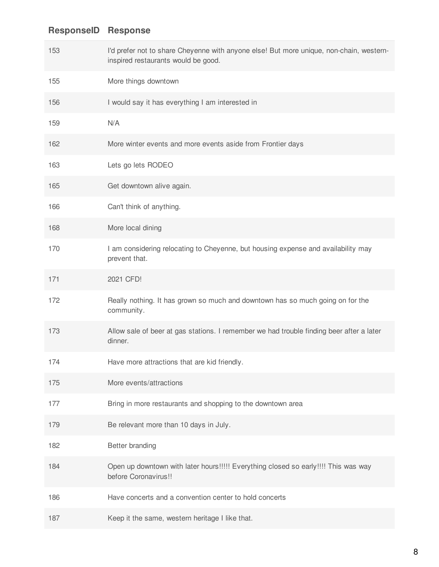| 153 | I'd prefer not to share Cheyenne with anyone else! But more unique, non-chain, western-<br>inspired restaurants would be good. |
|-----|--------------------------------------------------------------------------------------------------------------------------------|
| 155 | More things downtown                                                                                                           |
| 156 | I would say it has everything I am interested in                                                                               |
| 159 | N/A                                                                                                                            |
| 162 | More winter events and more events aside from Frontier days                                                                    |
| 163 | Lets go lets RODEO                                                                                                             |
| 165 | Get downtown alive again.                                                                                                      |
| 166 | Can't think of anything.                                                                                                       |
| 168 | More local dining                                                                                                              |
| 170 | I am considering relocating to Cheyenne, but housing expense and availability may<br>prevent that.                             |
| 171 | 2021 CFD!                                                                                                                      |
| 172 | Really nothing. It has grown so much and downtown has so much going on for the<br>community.                                   |
| 173 | Allow sale of beer at gas stations. I remember we had trouble finding beer after a later<br>dinner.                            |
| 174 | Have more attractions that are kid friendly.                                                                                   |
| 175 | More events/attractions                                                                                                        |
| 177 | Bring in more restaurants and shopping to the downtown area                                                                    |
| 179 | Be relevant more than 10 days in July.                                                                                         |
| 182 | <b>Better branding</b>                                                                                                         |
| 184 | Open up downtown with later hours!!!!! Everything closed so early!!!! This was way<br>before Coronavirus!!                     |
| 186 | Have concerts and a convention center to hold concerts                                                                         |
| 187 | Keep it the same, western heritage I like that.                                                                                |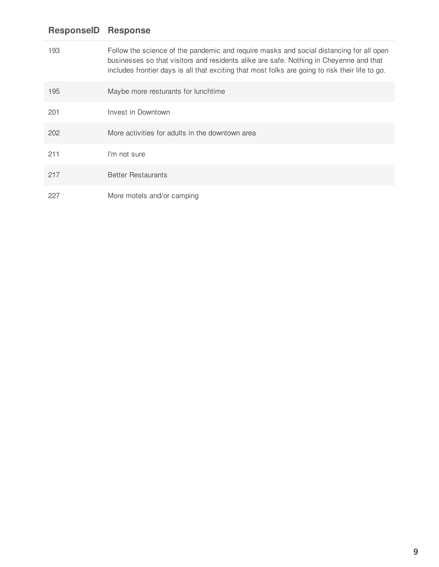| 193 | Follow the science of the pandemic and require masks and social distancing for all open<br>businesses so that visitors and residents alike are safe. Nothing in Cheyenne and that<br>includes frontier days is all that exciting that most folks are going to risk their life to go. |
|-----|--------------------------------------------------------------------------------------------------------------------------------------------------------------------------------------------------------------------------------------------------------------------------------------|
| 195 | Maybe more resturants for lunchtime                                                                                                                                                                                                                                                  |
| 201 | Invest in Downtown                                                                                                                                                                                                                                                                   |
| 202 | More activities for adults in the downtown area                                                                                                                                                                                                                                      |
| 211 | I'm not sure                                                                                                                                                                                                                                                                         |
| 217 | <b>Better Restaurants</b>                                                                                                                                                                                                                                                            |
| 227 | More motels and/or camping                                                                                                                                                                                                                                                           |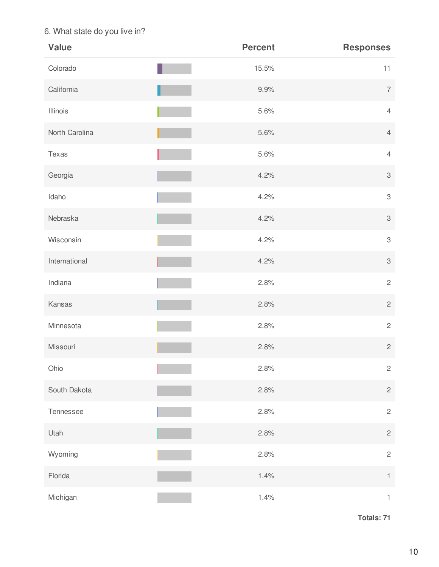#### 6. What state do you live in?

| <b>Value</b>   | <b>Percent</b> | <b>Responses</b> |
|----------------|----------------|------------------|
| Colorado       | 15.5%          | 11               |
| California     | 9.9%           | $\overline{7}$   |
| Illinois       | 5.6%           | $\overline{4}$   |
| North Carolina | 5.6%           | $\overline{4}$   |
| Texas          | 5.6%           | $\overline{4}$   |
| Georgia        | 4.2%           | $\sqrt{3}$       |
| Idaho          | 4.2%           | $\,3$            |
| Nebraska       | 4.2%           | $\sqrt{3}$       |
| Wisconsin      | 4.2%           | $\,3$            |
| International  | 4.2%           | $\sqrt{3}$       |
| Indiana        | 2.8%           | $\sqrt{2}$       |
| Kansas         | 2.8%           | $\sqrt{2}$       |
| Minnesota      | 2.8%           | $\overline{c}$   |
| Missouri       | 2.8%           | $\sqrt{2}$       |
| Ohio           | 2.8%           | $\overline{c}$   |
| South Dakota   | 2.8%           | $\overline{c}$   |
| Tennessee      | 2.8%           | $\overline{c}$   |
| Utah           | 2.8%           | $\overline{c}$   |
| Wyoming        | 2.8%           | $\overline{c}$   |
| Florida        | 1.4%           | $\uparrow$       |
| Michigan       | 1.4%           | $\mathbf{1}$     |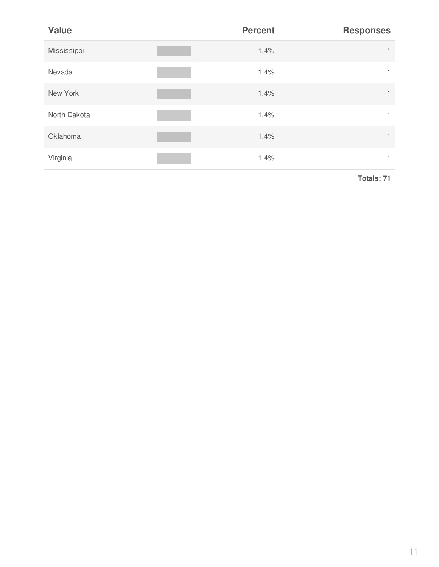| <b>Value</b> | <b>Percent</b> | <b>Responses</b> |
|--------------|----------------|------------------|
| Mississippi  | 1.4%           | 1                |
| Nevada       | 1.4%           |                  |
| New York     | 1.4%           | $\mathbf{1}$     |
| North Dakota | 1.4%           |                  |
| Oklahoma     | 1.4%           | 1                |
| Virginia     | 1.4%           |                  |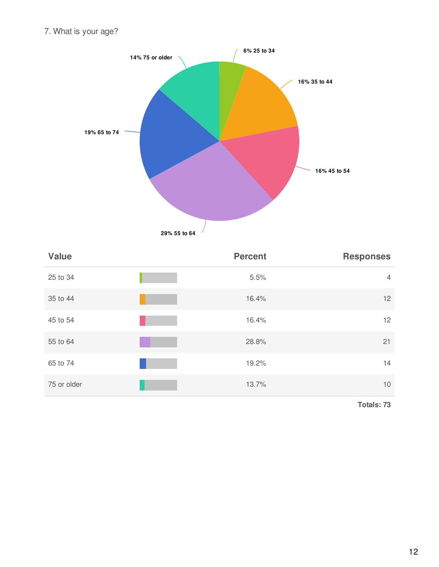7. What is your age?



| <b>Value</b> | <b>Percent</b> | <b>Responses</b> |
|--------------|----------------|------------------|
| 25 to 34     | 5.5%           | $\overline{4}$   |
| 35 to 44     | 16.4%          | 12               |
| 45 to 54     | 16.4%          | 12               |
| 55 to 64     | 28.8%          | 21               |
| 65 to 74     | 19.2%          | 14               |
| 75 or older  | 13.7%          | 10               |